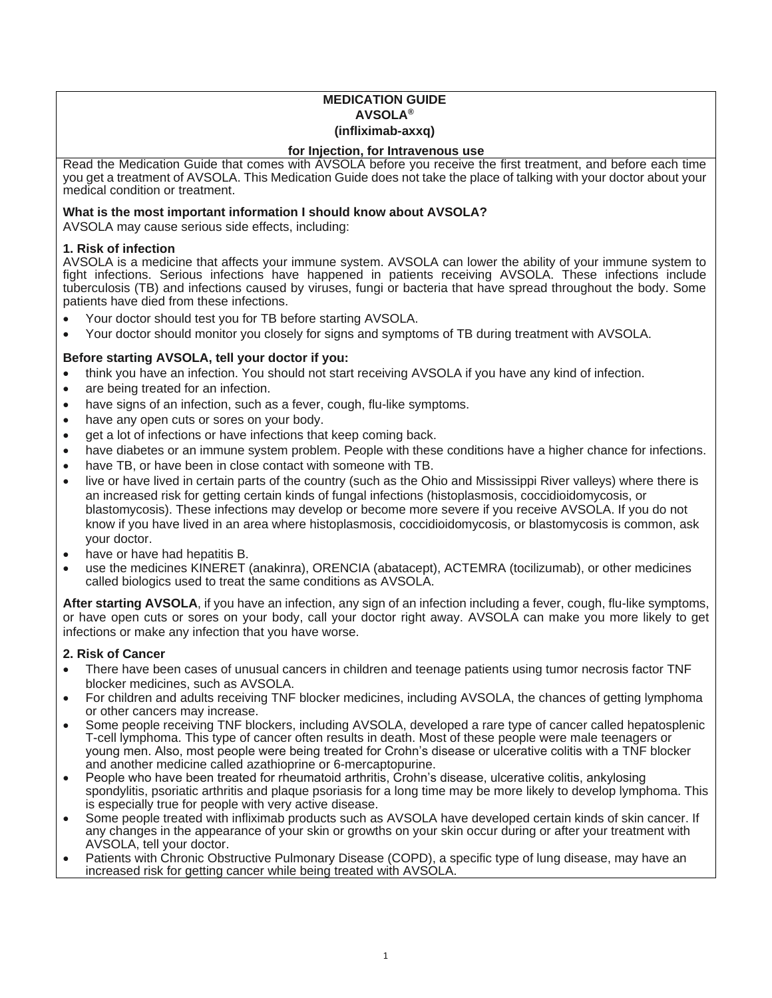## **MEDICATION GUIDE AVSOLA® (infliximab-axxq)**

### **for Injection, for Intravenous use**

Read the Medication Guide that comes with AVSOLA before you receive the first treatment, and before each time you get a treatment of AVSOLA. This Medication Guide does not take the place of talking with your doctor about your medical condition or treatment.

## **What is the most important information I should know about AVSOLA?**

AVSOLA may cause serious side effects, including:

## **1. Risk of infection**

AVSOLA is a medicine that affects your immune system. AVSOLA can lower the ability of your immune system to fight infections. Serious infections have happened in patients receiving AVSOLA. These infections include tuberculosis (TB) and infections caused by viruses, fungi or bacteria that have spread throughout the body. Some patients have died from these infections.

- Your doctor should test you for TB before starting AVSOLA.
- Your doctor should monitor you closely for signs and symptoms of TB during treatment with AVSOLA.

# **Before starting AVSOLA, tell your doctor if you:**

- think you have an infection. You should not start receiving AVSOLA if you have any kind of infection.
- are being treated for an infection.
- have signs of an infection, such as a fever, cough, flu-like symptoms.
- have any open cuts or sores on your body.
- get a lot of infections or have infections that keep coming back.
- have diabetes or an immune system problem. People with these conditions have a higher chance for infections.
- have TB, or have been in close contact with someone with TB.
- live or have lived in certain parts of the country (such as the Ohio and Mississippi River valleys) where there is an increased risk for getting certain kinds of fungal infections (histoplasmosis, coccidioidomycosis, or blastomycosis). These infections may develop or become more severe if you receive AVSOLA. If you do not know if you have lived in an area where histoplasmosis, coccidioidomycosis, or blastomycosis is common, ask your doctor.
- have or have had hepatitis B.
- use the medicines KINERET (anakinra), ORENCIA (abatacept), ACTEMRA (tocilizumab), or other medicines called biologics used to treat the same conditions as AVSOLA.

**After starting AVSOLA**, if you have an infection, any sign of an infection including a fever, cough, flu-like symptoms, or have open cuts or sores on your body, call your doctor right away. AVSOLA can make you more likely to get infections or make any infection that you have worse.

# **2. Risk of Cancer**

- There have been cases of unusual cancers in children and teenage patients using tumor necrosis factor TNF blocker medicines, such as AVSOLA.
- For children and adults receiving TNF blocker medicines, including AVSOLA, the chances of getting lymphoma or other cancers may increase.
- Some people receiving TNF blockers, including AVSOLA, developed a rare type of cancer called hepatosplenic T-cell lymphoma. This type of cancer often results in death. Most of these people were male teenagers or young men. Also, most people were being treated for Crohn's disease or ulcerative colitis with a TNF blocker and another medicine called azathioprine or 6-mercaptopurine.
- People who have been treated for rheumatoid arthritis, Crohn's disease, ulcerative colitis, ankylosing spondylitis, psoriatic arthritis and plaque psoriasis for a long time may be more likely to develop lymphoma. This is especially true for people with very active disease.
- Some people treated with infliximab products such as AVSOLA have developed certain kinds of skin cancer. If any changes in the appearance of your skin or growths on your skin occur during or after your treatment with AVSOLA, tell your doctor.
- Patients with Chronic Obstructive Pulmonary Disease (COPD), a specific type of lung disease, may have an increased risk for getting cancer while being treated with AVSOLA.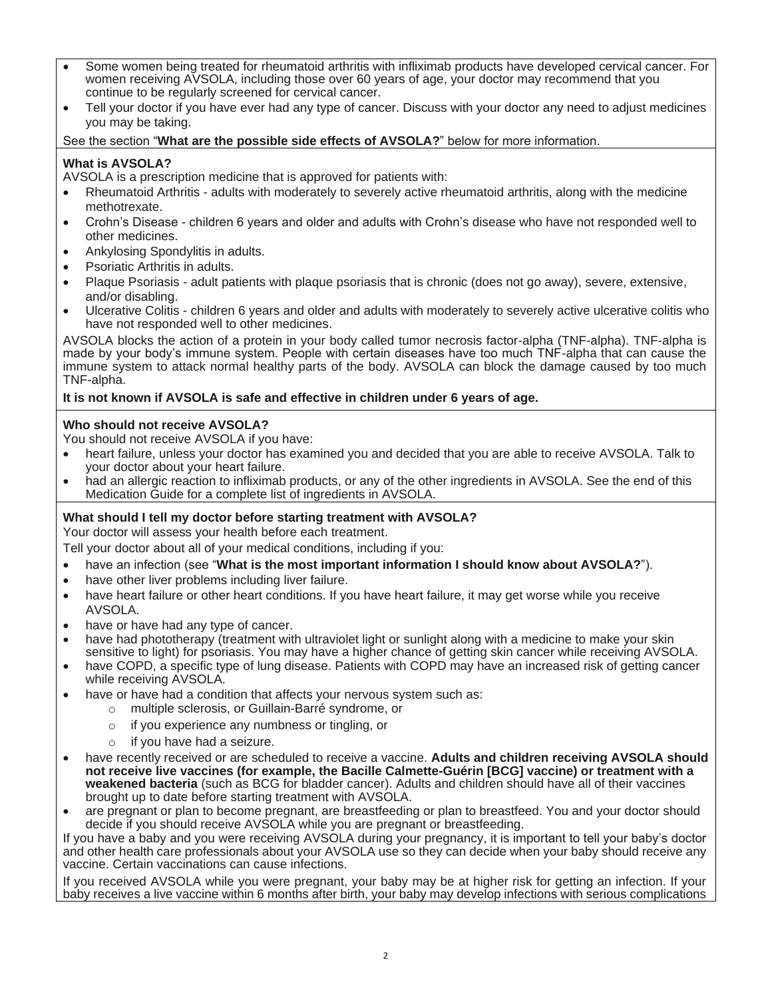- Some women being treated for rheumatoid arthritis with infliximab products have developed cervical cancer. For women receiving AVSOLA, including those over 60 years of age, your doctor may recommend that you continue to be regularly screened for cervical cancer.
- Tell your doctor if you have ever had any type of cancer. Discuss with your doctor any need to adjust medicines you may be taking.

See the section "**What are the possible side effects of AVSOLA?**" below for more information.

# **What is AVSOLA?**

AVSOLA is a prescription medicine that is approved for patients with:

- Rheumatoid Arthritis adults with moderately to severely active rheumatoid arthritis, along with the medicine methotrexate.
- Crohn's Disease children 6 years and older and adults with Crohn's disease who have not responded well to other medicines.
- Ankylosing Spondylitis in adults.
- Psoriatic Arthritis in adults.
- Plaque Psoriasis adult patients with plaque psoriasis that is chronic (does not go away), severe, extensive, and/or disabling.
- Ulcerative Colitis children 6 years and older and adults with moderately to severely active ulcerative colitis who have not responded well to other medicines.

AVSOLA blocks the action of a protein in your body called tumor necrosis factor-alpha (TNF-alpha). TNF-alpha is made by your body's immune system. People with certain diseases have too much TNF-alpha that can cause the immune system to attack normal healthy parts of the body. AVSOLA can block the damage caused by too much TNF-alpha.

# **It is not known if AVSOLA is safe and effective in children under 6 years of age.**

# **Who should not receive AVSOLA?**

You should not receive AVSOLA if you have:

- heart failure, unless your doctor has examined you and decided that you are able to receive AVSOLA. Talk to your doctor about your heart failure.
- had an allergic reaction to infliximab products, or any of the other ingredients in AVSOLA. See the end of this Medication Guide for a complete list of ingredients in AVSOLA.

# **What should I tell my doctor before starting treatment with AVSOLA?**

Your doctor will assess your health before each treatment.

Tell your doctor about all of your medical conditions, including if you:

- have an infection (see "**What is the most important information I should know about AVSOLA?**").
- have other liver problems including liver failure.
- have heart failure or other heart conditions. If you have heart failure, it may get worse while you receive AVSOLA.
- have or have had any type of cancer.
- have had phototherapy (treatment with ultraviolet light or sunlight along with a medicine to make your skin sensitive to light) for psoriasis. You may have a higher chance of getting skin cancer while receiving AVSOLA.
- have COPD, a specific type of lung disease. Patients with COPD may have an increased risk of getting cancer while receiving AVSOLA.
- have or have had a condition that affects your nervous system such as:
	- o multiple sclerosis, or Guillain-Barré syndrome, or
	- o if you experience any numbness or tingling, or
	- o if you have had a seizure.
- have recently received or are scheduled to receive a vaccine. **Adults and children receiving AVSOLA should not receive live vaccines (for example, the Bacille Calmette-Guérin [BCG] vaccine) or treatment with a weakened bacteria** (such as BCG for bladder cancer). Adults and children should have all of their vaccines brought up to date before starting treatment with AVSOLA.
- are pregnant or plan to become pregnant, are breastfeeding or plan to breastfeed. You and your doctor should decide if you should receive AVSOLA while you are pregnant or breastfeeding.

If you have a baby and you were receiving AVSOLA during your pregnancy, it is important to tell your baby's doctor and other health care professionals about your AVSOLA use so they can decide when your baby should receive any vaccine. Certain vaccinations can cause infections.

If you received AVSOLA while you were pregnant, your baby may be at higher risk for getting an infection. If your baby receives a live vaccine within 6 months after birth, your baby may develop infections with serious complications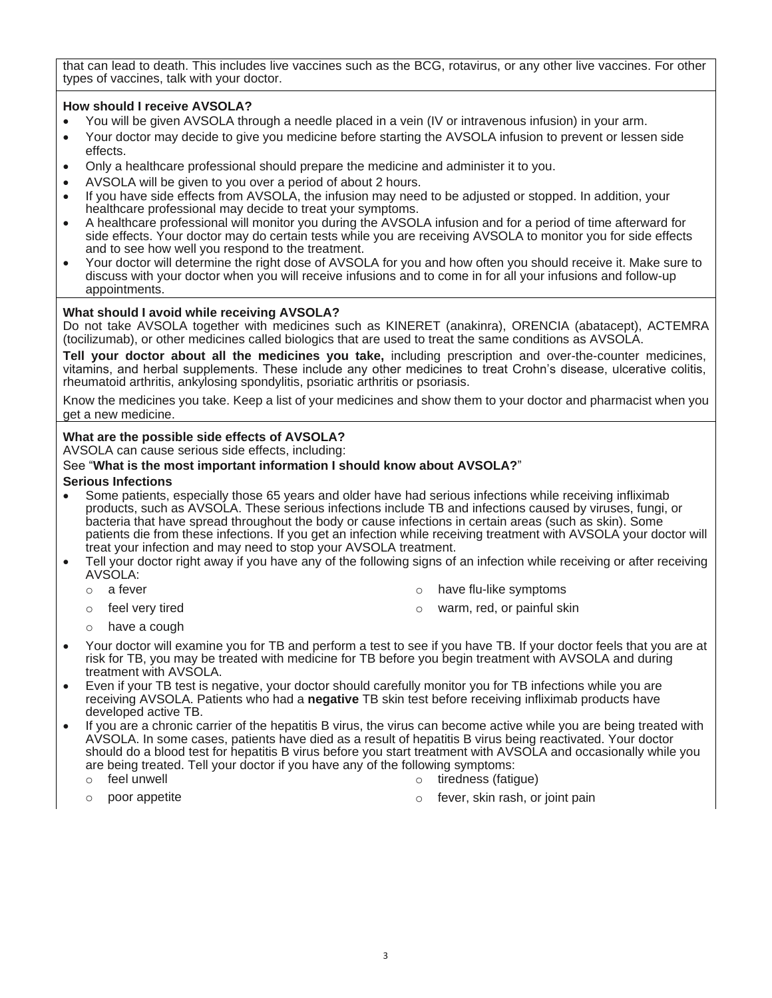that can lead to death. This includes live vaccines such as the BCG, rotavirus, or any other live vaccines. For other types of vaccines, talk with your doctor.

## **How should I receive AVSOLA?**

- You will be given AVSOLA through a needle placed in a vein (IV or intravenous infusion) in your arm.
- Your doctor may decide to give you medicine before starting the AVSOLA infusion to prevent or lessen side effects.
- Only a healthcare professional should prepare the medicine and administer it to you.
- AVSOLA will be given to you over a period of about 2 hours.
- If you have side effects from AVSOLA, the infusion may need to be adjusted or stopped. In addition, your healthcare professional may decide to treat your symptoms.
- A healthcare professional will monitor you during the AVSOLA infusion and for a period of time afterward for side effects. Your doctor may do certain tests while you are receiving AVSOLA to monitor you for side effects and to see how well you respond to the treatment.
- Your doctor will determine the right dose of AVSOLA for you and how often you should receive it. Make sure to discuss with your doctor when you will receive infusions and to come in for all your infusions and follow-up appointments.

## **What should I avoid while receiving AVSOLA?**

Do not take AVSOLA together with medicines such as KINERET (anakinra), ORENCIA (abatacept), ACTEMRA (tocilizumab), or other medicines called biologics that are used to treat the same conditions as AVSOLA.

**Tell your doctor about all the medicines you take,** including prescription and over-the-counter medicines, vitamins, and herbal supplements. These include any other medicines to treat Crohn's disease, ulcerative colitis, rheumatoid arthritis, ankylosing spondylitis, psoriatic arthritis or psoriasis.

Know the medicines you take. Keep a list of your medicines and show them to your doctor and pharmacist when you get a new medicine.

# **What are the possible side effects of AVSOLA?**

AVSOLA can cause serious side effects, including:

## See "**What is the most important information I should know about AVSOLA?**"

#### **Serious Infections**

- Some patients, especially those 65 years and older have had serious infections while receiving infliximab products, such as AVSOLA. These serious infections include TB and infections caused by viruses, fungi, or bacteria that have spread throughout the body or cause infections in certain areas (such as skin). Some patients die from these infections. If you get an infection while receiving treatment with AVSOLA your doctor will treat your infection and may need to stop your AVSOLA treatment.
- Tell your doctor right away if you have any of the following signs of an infection while receiving or after receiving AVSOLA:
	-
	- o a fever **but a fever** o have flu-like symptoms
	- o feel very tired **o warm, red, or painful skin**
- 

- o have a cough
- Your doctor will examine you for TB and perform a test to see if you have TB. If your doctor feels that you are at risk for TB, you may be treated with medicine for TB before you begin treatment with AVSOLA and during treatment with AVSOLA.
- Even if your TB test is negative, your doctor should carefully monitor you for TB infections while you are receiving AVSOLA. Patients who had a **negative** TB skin test before receiving infliximab products have developed active TB.
- If you are a chronic carrier of the hepatitis B virus, the virus can become active while you are being treated with AVSOLA. In some cases, patients have died as a result of hepatitis B virus being reactivated. Your doctor should do a blood test for hepatitis B virus before you start treatment with AVSOLA and occasionally while you are being treated. Tell your doctor if you have any of the following symptoms:
	-
	- o feel unwell o tiredness (fatigue)
	- - poor appetite **of the fever, skin rash**, or joint pain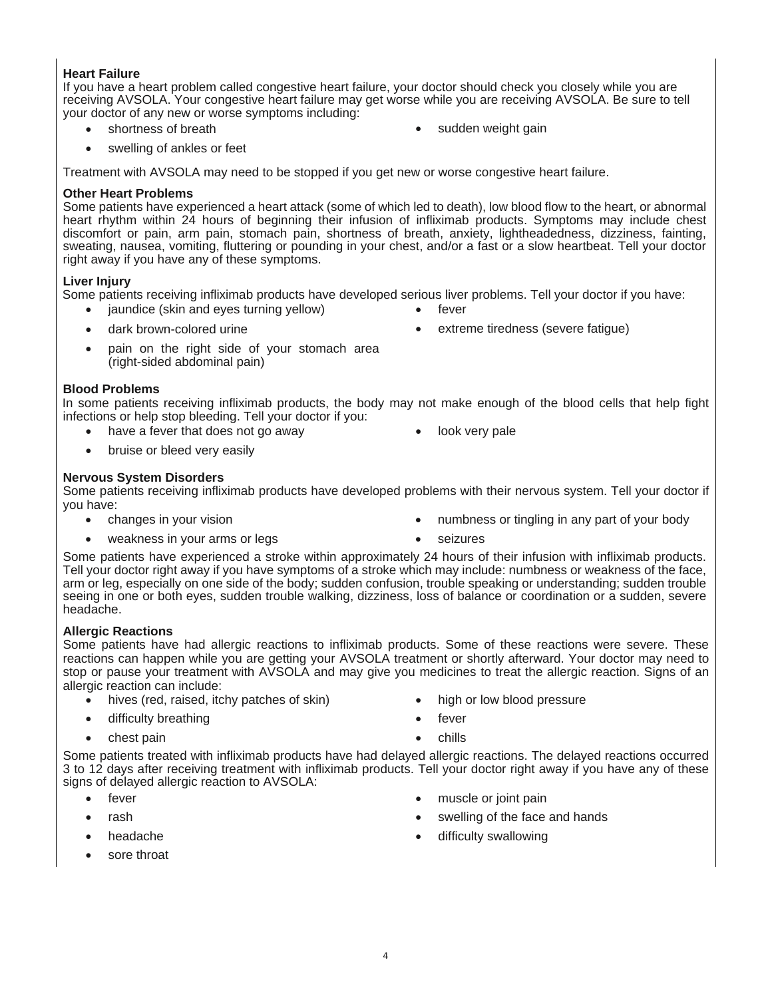# **Heart Failure**

If you have a heart problem called congestive heart failure, your doctor should check you closely while you are receiving AVSOLA. Your congestive heart failure may get worse while you are receiving AVSOLA. Be sure to tell your doctor of any new or worse symptoms including:

- 
- shortness of breath **•** sudden weight gain
- swelling of ankles or feet

Treatment with AVSOLA may need to be stopped if you get new or worse congestive heart failure.

### **Other Heart Problems**

Some patients have experienced a heart attack (some of which led to death), low blood flow to the heart, or abnormal heart rhythm within 24 hours of beginning their infusion of infliximab products. Symptoms may include chest discomfort or pain, arm pain, stomach pain, shortness of breath, anxiety, lightheadedness, dizziness, fainting, sweating, nausea, vomiting, fluttering or pounding in your chest, and/or a fast or a slow heartbeat. Tell your doctor right away if you have any of these symptoms.

## **Liver Injury**

Some patients receiving infliximab products have developed serious liver problems. Tell your doctor if you have:

- jaundice (skin and eyes turning yellow) fever
- 
- dark brown-colored urine **•** extreme tiredness (severe fatigue)
- pain on the right side of your stomach area (right-sided abdominal pain)

# **Blood Problems**

In some patients receiving infliximab products, the body may not make enough of the blood cells that help fight infections or help stop bleeding. Tell your doctor if you:

- have a fever that does not go away **•** look very pale
- bruise or bleed very easily

## **Nervous System Disorders**

Some patients receiving infliximab products have developed problems with their nervous system. Tell your doctor if you have:

- 
- changes in your vision **•** numbness or tingling in any part of your body
- weakness in your arms or legs **•** seizures
	-

Some patients have experienced a stroke within approximately 24 hours of their infusion with infliximab products. Tell your doctor right away if you have symptoms of a stroke which may include: numbness or weakness of the face, arm or leg, especially on one side of the body; sudden confusion, trouble speaking or understanding; sudden trouble seeing in one or both eyes, sudden trouble walking, dizziness, loss of balance or coordination or a sudden, severe headache.

#### **Allergic Reactions**

Some patients have had allergic reactions to infliximab products. Some of these reactions were severe. These reactions can happen while you are getting your AVSOLA treatment or shortly afterward. Your doctor may need to stop or pause your treatment with AVSOLA and may give you medicines to treat the allergic reaction. Signs of an allergic reaction can include:

- hives (red, raised, itchy patches of skin) high or low blood pressure
- difficulty breathing **the example of the set of the set of the set of the set of the set of the set of the set of the set of the set of the set of the set of the set of the set of the set of the set of the set of the set o**
- 
- - chest pain chills

Some patients treated with infliximab products have had delayed allergic reactions. The delayed reactions occurred 3 to 12 days after receiving treatment with infliximab products. Tell your doctor right away if you have any of these signs of delayed allergic reaction to AVSOLA:

- 
- 
- 
- sore throat
- fever **•** muscle or joint pain
- rash  **rash swelling of the face and hands •** swelling of the face and hands
- headache difficulty swallowing